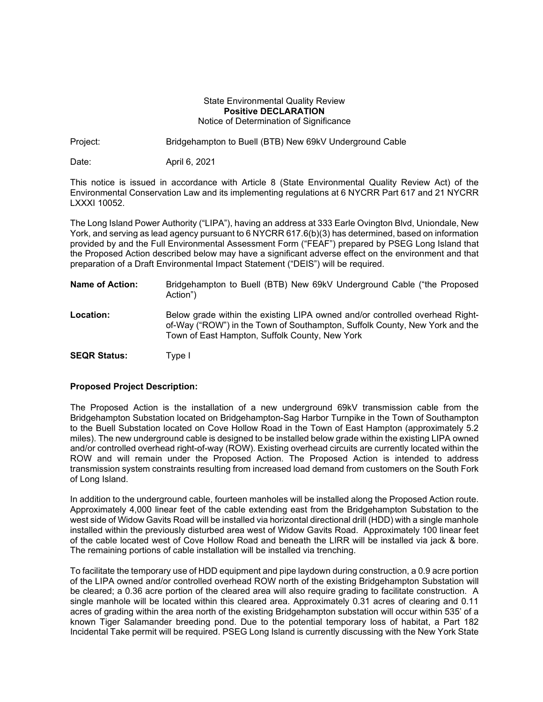## State Environmental Quality Review **Positive DECLARATION** Notice of Determination of Significance

Project: Bridgehampton to Buell (BTB) New 69kV Underground Cable

Date: April 6, 2021

This notice is issued in accordance with Article 8 (State Environmental Quality Review Act) of the Environmental Conservation Law and its implementing regulations at 6 NYCRR Part 617 and 21 NYCRR LXXXI 10052.

The Long Island Power Authority ("LIPA"), having an address at 333 Earle Ovington Blvd, Uniondale, New York, and serving as lead agency pursuant to 6 NYCRR 617.6(b)(3) has determined, based on information provided by and the Full Environmental Assessment Form ("FEAF") prepared by PSEG Long Island that the Proposed Action described below may have a significant adverse effect on the environment and that preparation of a Draft Environmental Impact Statement ("DEIS") will be required.

| Name of Action:     | Bridgehampton to Buell (BTB) New 69kV Underground Cable ("the Proposed<br>Action")                                                                                                                            |
|---------------------|---------------------------------------------------------------------------------------------------------------------------------------------------------------------------------------------------------------|
| Location:           | Below grade within the existing LIPA owned and/or controlled overhead Right-<br>of-Way ("ROW") in the Town of Southampton, Suffolk County, New York and the<br>Town of East Hampton, Suffolk County, New York |
| <b>SEQR Status:</b> | Type I                                                                                                                                                                                                        |

## **Proposed Project Description:**

The Proposed Action is the installation of a new underground 69kV transmission cable from the Bridgehampton Substation located on Bridgehampton-Sag Harbor Turnpike in the Town of Southampton to the Buell Substation located on Cove Hollow Road in the Town of East Hampton (approximately 5.2 miles). The new underground cable is designed to be installed below grade within the existing LIPA owned and/or controlled overhead right-of-way (ROW). Existing overhead circuits are currently located within the ROW and will remain under the Proposed Action. The Proposed Action is intended to address transmission system constraints resulting from increased load demand from customers on the South Fork of Long Island.

In addition to the underground cable, fourteen manholes will be installed along the Proposed Action route. Approximately 4,000 linear feet of the cable extending east from the Bridgehampton Substation to the west side of Widow Gavits Road will be installed via horizontal directional drill (HDD) with a single manhole installed within the previously disturbed area west of Widow Gavits Road. Approximately 100 linear feet of the cable located west of Cove Hollow Road and beneath the LIRR will be installed via jack & bore. The remaining portions of cable installation will be installed via trenching.

To facilitate the temporary use of HDD equipment and pipe laydown during construction, a 0.9 acre portion of the LIPA owned and/or controlled overhead ROW north of the existing Bridgehampton Substation will be cleared; a 0.36 acre portion of the cleared area will also require grading to facilitate construction. A single manhole will be located within this cleared area. Approximately 0.31 acres of clearing and 0.11 acres of grading within the area north of the existing Bridgehampton substation will occur within 535' of a known Tiger Salamander breeding pond. Due to the potential temporary loss of habitat, a Part 182 Incidental Take permit will be required. PSEG Long Island is currently discussing with the New York State